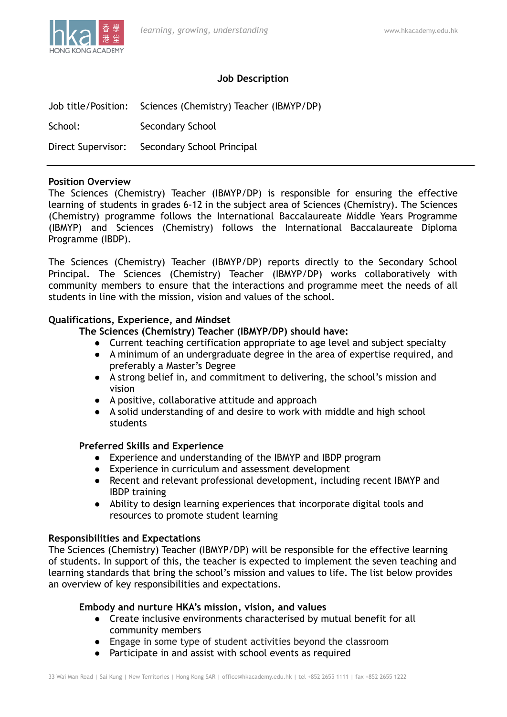

#### **Job Description**

|         | Job title/Position: Sciences (Chemistry) Teacher (IBMYP/DP) |
|---------|-------------------------------------------------------------|
| School: | Secondary School                                            |
|         | Direct Supervisor: Secondary School Principal               |

#### **Position Overview**

The Sciences (Chemistry) Teacher (IBMYP/DP) is responsible for ensuring the effective learning of students in grades 6-12 in the subject area of Sciences (Chemistry). The Sciences (Chemistry) programme follows the International Baccalaureate Middle Years Programme (IBMYP) and Sciences (Chemistry) follows the International Baccalaureate Diploma Programme (IBDP).

The Sciences (Chemistry) Teacher (IBMYP/DP) reports directly to the Secondary School Principal. The Sciences (Chemistry) Teacher (IBMYP/DP) works collaboratively with community members to ensure that the interactions and programme meet the needs of all students in line with the mission, vision and values of the school.

#### **Qualifications, Experience, and Mindset**

**The Sciences (Chemistry) Teacher (IBMYP/DP) should have:**

- Current teaching certification appropriate to age level and subject specialty
- A minimum of an undergraduate degree in the area of expertise required, and preferably a Master's Degree
- A strong belief in, and commitment to delivering, the school's mission and vision
- A positive, collaborative attitude and approach
- A solid understanding of and desire to work with middle and high school students

#### **Preferred Skills and Experience**

- Experience and understanding of the IBMYP and IBDP program
- Experience in curriculum and assessment development
- Recent and relevant professional development, including recent IBMYP and IBDP training
- Ability to design learning experiences that incorporate digital tools and resources to promote student learning

#### **Responsibilities and Expectations**

The Sciences (Chemistry) Teacher (IBMYP/DP) will be responsible for the effective learning of students. In support of this, the teacher is expected to implement the seven teaching and learning standards that bring the school's mission and values to life. The list below provides an overview of key responsibilities and expectations.

### **Embody and nurture HKA's mission, vision, and values**

- Create inclusive environments characterised by mutual benefit for all community members
- Engage in some type of student activities beyond the classroom
- Participate in and assist with school events as required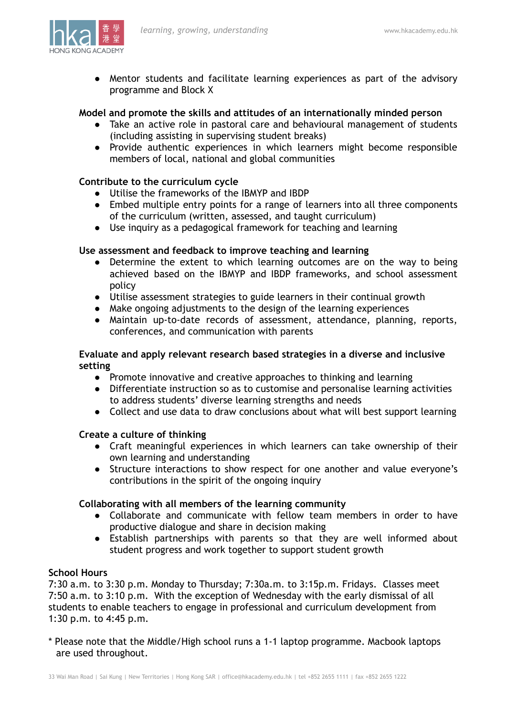

● Mentor students and facilitate learning experiences as part of the advisory programme and Block X

### **Model and promote the skills and attitudes of an internationally minded person**

- Take an active role in pastoral care and behavioural management of students (including assisting in supervising student breaks)
- Provide authentic experiences in which learners might become responsible members of local, national and global communities

## **Contribute to the curriculum cycle**

- Utilise the frameworks of the IBMYP and IBDP
- Embed multiple entry points for a range of learners into all three components of the curriculum (written, assessed, and taught curriculum)
- Use inquiry as a pedagogical framework for teaching and learning

## **Use assessment and feedback to improve teaching and learning**

- Determine the extent to which learning outcomes are on the way to being achieved based on the IBMYP and IBDP frameworks, and school assessment policy
- Utilise assessment strategies to guide learners in their continual growth
- Make ongoing adjustments to the design of the learning experiences
- Maintain up-to-date records of assessment, attendance, planning, reports, conferences, and communication with parents

## **Evaluate and apply relevant research based strategies in a diverse and inclusive setting**

- Promote innovative and creative approaches to thinking and learning
- Differentiate instruction so as to customise and personalise learning activities to address students' diverse learning strengths and needs
- Collect and use data to draw conclusions about what will best support learning

### **Create a culture of thinking**

- Craft meaningful experiences in which learners can take ownership of their own learning and understanding
- Structure interactions to show respect for one another and value everyone's contributions in the spirit of the ongoing inquiry

## **Collaborating with all members of the learning community**

- Collaborate and communicate with fellow team members in order to have productive dialogue and share in decision making
- Establish partnerships with parents so that they are well informed about student progress and work together to support student growth

### **School Hours**

7:30 a.m. to 3:30 p.m. Monday to Thursday; 7:30a.m. to 3:15p.m. Fridays. Classes meet 7:50 a.m. to 3:10 p.m. With the exception of Wednesday with the early dismissal of all students to enable teachers to engage in professional and curriculum development from 1:30 p.m. to 4:45 p.m.

\* Please note that the Middle/High school runs a 1-1 laptop programme. Macbook laptops are used throughout.